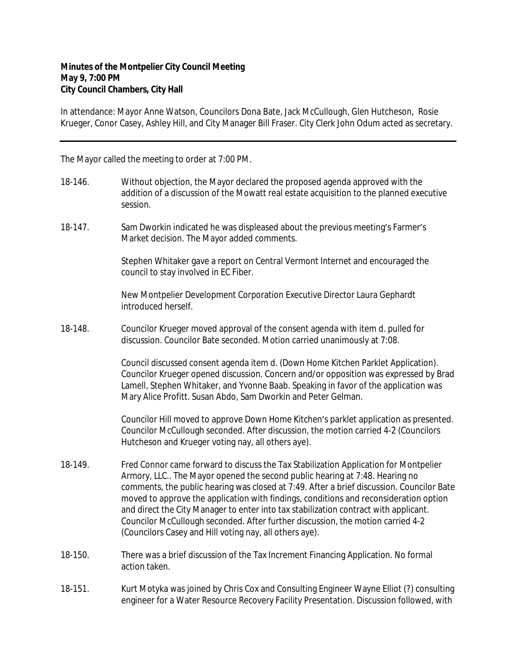In attendance: Mayor Anne Watson, Councilors Dona Bate, Jack McCullough, Glen Hutcheson, Rosie Krueger, Conor Casey, Ashley Hill, and City Manager Bill Fraser. City Clerk John Odum acted as secretary.

The Mayor called the meeting to order at 7:00 PM.

- 18-146. Without objection, the Mayor declared the proposed agenda approved with the addition of a discussion of the Mowatt real estate acquisition to the planned executive session.
- 18-147. Sam Dworkin indicated he was displeased about the previous meeting's Farmer's Market decision. The Mayor added comments.

Stephen Whitaker gave a report on Central Vermont Internet and encouraged the council to stay involved in EC Fiber.

New Montpelier Development Corporation Executive Director Laura Gephardt introduced herself.

18-148. Councilor Krueger moved approval of the consent agenda with item d. pulled for discussion. Councilor Bate seconded. Motion carried unanimously at 7:08.

> Council discussed consent agenda item d. (Down Home Kitchen Parklet Application). Councilor Krueger opened discussion. Concern and/or opposition was expressed by Brad Lamell, Stephen Whitaker, and Yvonne Baab. Speaking in favor of the application was Mary Alice Profitt. Susan Abdo, Sam Dworkin and Peter Gelman.

> Councilor Hill moved to approve Down Home Kitchen's parklet application as presented. Councilor McCullough seconded. After discussion, the motion carried 4-2 (Councilors Hutcheson and Krueger voting nay, all others aye).

- 18-149. Fred Connor came forward to discuss the Tax Stabilization Application for Montpelier Armory, LLC.. The Mayor opened the second public hearing at 7:48. Hearing no comments, the public hearing was closed at 7:49. After a brief discussion. Councilor Bate moved to approve the application with findings, conditions and reconsideration option and direct the City Manager to enter into tax stabilization contract with applicant. Councilor McCullough seconded. After further discussion, the motion carried 4-2 (Councilors Casey and Hill voting nay, all others aye).
- 18-150. There was a brief discussion of the Tax Increment Financing Application. No formal action taken.
- 18-151. Kurt Motyka was joined by Chris Cox and Consulting Engineer Wayne Elliot (?) consulting engineer for a Water Resource Recovery Facility Presentation. Discussion followed, with